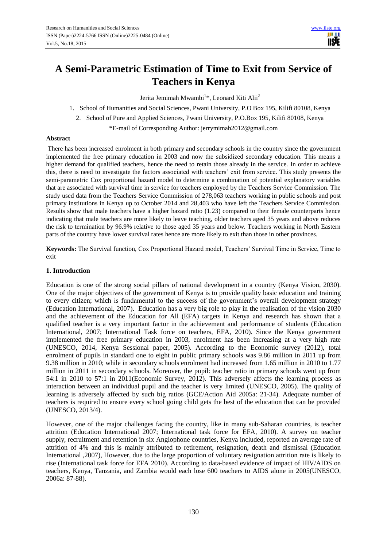# **A Semi-Parametric Estimation of Time to Exit from Service of Teachers in Kenya**

Jerita Jemimah Mwambi<sup>1</sup>\*, Leonard Kiti Alii<sup>2</sup>

- 1. School of Humanities and Social Sciences, Pwani University, P.O Box 195, Kilifi 80108, Kenya
	- 2. School of Pure and Applied Sciences, Pwani University, P.O.Box 195, Kilifi 80108, Kenya

\*E-mail of Corresponding Author: jerrymimah2012@gmail.com

#### **Abstract**

There has been increased enrolment in both primary and secondary schools in the country since the government implemented the free primary education in 2003 and now the subsidized secondary education. This means a higher demand for qualified teachers, hence the need to retain those already in the service. In order to achieve this, there is need to investigate the factors associated with teachers' exit from service. This study presents the semi-parametric Cox proportional hazard model to determine a combination of potential explanatory variables that are associated with survival time in service for teachers employed by the Teachers Service Commission. The study used data from the Teachers Service Commission of 278,063 teachers working in public schools and post primary institutions in Kenya up to October 2014 and 28,403 who have left the Teachers Service Commission. Results show that male teachers have a higher hazard ratio (1.23) compared to their female counterparts hence indicating that male teachers are more likely to leave teaching, older teachers aged 35 years and above reduces the risk to termination by 96.9% relative to those aged 35 years and below. Teachers working in North Eastern parts of the country have lower survival rates hence are more likely to exit than those in other provinces.

**Keywords:** The Survival function, Cox Proportional Hazard model, Teachers' Survival Time in Service, Time to exit

### **1. Introduction**

Education is one of the strong social pillars of national development in a country (Kenya Vision, 2030). One of the major objectives of the government of Kenya is to provide quality basic education and training to every citizen; which is fundamental to the success of the government's overall development strategy (Education International, 2007). Education has a very big role to play in the realisation of the vision 2030 and the achievement of the Education for All (EFA) targets in Kenya and research has shown that a qualified teacher is a very important factor in the achievement and performance of students (Education International, 2007; International Task force on teachers, EFA, 2010). Since the Kenya government implemented the free primary education in 2003, enrolment has been increasing at a very high rate (UNESCO, 2014, Kenya Sessional paper, 2005). According to the Economic survey (2012), total enrolment of pupils in standard one to eight in public primary schools was 9.86 million in 2011 up from 9.38 million in 2010; while in secondary schools enrolment had increased from 1.65 million in 2010 to 1.77 million in 2011 in secondary schools. Moreover, the pupil: teacher ratio in primary schools went up from 54:1 in 2010 to 57:1 in 2011(Economic Survey, 2012). This adversely affects the learning process as interaction between an individual pupil and the teacher is very limited (UNESCO, 2005). The quality of learning is adversely affected by such big ratios (GCE/Action Aid 2005a: 21-34). Adequate number of teachers is required to ensure every school going child gets the best of the education that can be provided (UNESCO, 2013/4).

However, one of the major challenges facing the country, like in many sub-Saharan countries, is teacher attrition (Education International 2007; International task force for EFA, 2010). A survey on teacher supply, recruitment and retention in six Anglophone countries, Kenya included, reported an average rate of attrition of 4% and this is mainly attributed to retirement, resignation, death and dismissal (Education International ,2007), However, due to the large proportion of voluntary resignation attrition rate is likely to rise (International task force for EFA 2010). According to data-based evidence of impact of HIV/AIDS on teachers, Kenya, Tanzania, and Zambia would each lose 600 teachers to AIDS alone in 2005(UNESCO, 2006a: 87-88).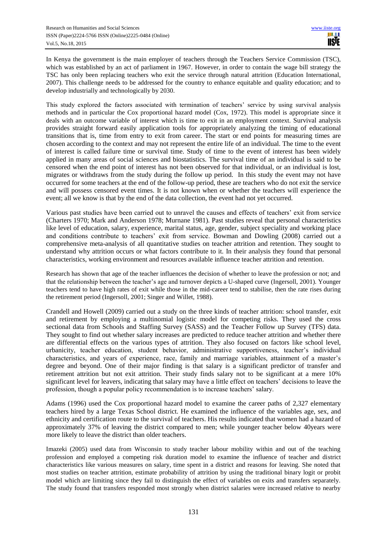In Kenya the government is the main employer of teachers through the Teachers Service Commission (TSC), which was established by an act of parliament in 1967. However, in order to contain the wage bill strategy the TSC has only been replacing teachers who exit the service through natural attrition (Education International, 2007). This challenge needs to be addressed for the country to enhance equitable and quality education; and to develop industrially and technologically by 2030.

This study explored the factors associated with termination of teachers' service by using survival analysis methods and in particular the Cox proportional hazard model (Cox, 1972). This model is appropriate since it deals with an outcome variable of interest which is time to exit in an employment context. Survival analysis provides straight forward easily application tools for appropriately analyzing the timing of educational transitions that is, time from entry to exit from career. The start or end points for measuring times are chosen according to the context and may not represent the entire life of an individual. The time to the event of interest is called failure time or survival time. Study of time to the event of interest has been widely applied in many areas of social sciences and biostatistics. The survival time of an individual is said to be censored when the end point of interest has not been observed for that individual, or an individual is lost, migrates or withdraws from the study during the follow up period. In this study the event may not have occurred for some teachers at the end of the follow-up period, these are teachers who do not exit the service and will possess censored event times. It is not known when or whether the teachers will experience the event; all we know is that by the end of the data collection, the event had not yet occurred.

Various past studies have been carried out to unravel the causes and effects of teachers' exit from service (Charters 1970; Mark and Anderson 1978; Murnane 1981). Past studies reveal that personal characteristics like level of education, salary, experience, marital status, age, gender, subject speciality and working place and conditions contribute to teachers' exit from service. Bowman and Dowling (2008) carried out a comprehensive meta-analysis of all quantitative studies on teacher attrition and retention. They sought to understand why attrition occurs or what factors contribute to it. In their analysis they found that personal characteristics, working environment and resources available influence teacher attrition and retention.

Research has shown that age of the teacher influences the decision of whether to leave the profession or not; and that the relationship between the teacher's age and turnover depicts a U-shaped curve (Ingersoll, 2001). Younger teachers tend to have high rates of exit while those in the mid-career tend to stabilise, then the rate rises during the retirement period (Ingersoll, 2001; Singer and Willet, 1988).

Crandell and Howell (2009) carried out a study on the three kinds of teacher attrition: school transfer, exit and retirement by employing a multinomial logistic model for competing risks. They used the cross sectional data from Schools and Staffing Survey (SASS) and the Teacher Follow up Survey (TFS) data. They sought to find out whether salary increases are predicted to reduce teacher attrition and whether there are differential effects on the various types of attrition. They also focused on factors like school level, urbanicity, teacher education, student behavior, administrative supportiveness, teacher's individual characteristics, and years of experience, race, family and marriage variables, attainment of a master's degree and beyond. One of their major finding is that salary is a significant predictor of transfer and retirement attrition but not exit attrition. Their study finds salary not to be significant at a mere 10% significant level for leavers, indicating that salary may have a little effect on teachers' decisions to leave the profession, though a popular policy recommendation is to increase teachers' salary.

Adams (1996) used the Cox proportional hazard model to examine the career paths of 2,327 elementary teachers hired by a large Texas School district. He examined the influence of the variables age, sex, and ethnicity and certification route to the survival of teachers. His results indicated that women had a hazard of approximately 37% of leaving the district compared to men; while younger teacher below 40years were more likely to leave the district than older teachers.

Imazeki (2005) used data from Wisconsin to study teacher labour mobility within and out of the teaching profession and employed a competing risk duration model to examine the influence of teacher and district characteristics like various measures on salary, time spent in a district and reasons for leaving. She noted that most studies on teacher attrition, estimate probability of attrition by using the traditional binary logit or probit model which are limiting since they fail to distinguish the effect of variables on exits and transfers separately. The study found that transfers responded most strongly when district salaries were increased relative to nearby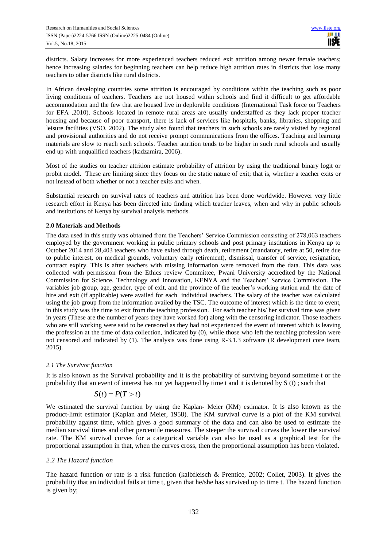districts. Salary increases for more experienced teachers reduced exit attrition among newer female teachers; hence increasing salaries for beginning teachers can help reduce high attrition rates in districts that lose many teachers to other districts like rural districts.

In African developing countries some attrition is encouraged by conditions within the teaching such as poor living conditions of teachers. Teachers are not housed within schools and find it difficult to get affordable accommodation and the few that are housed live in deplorable conditions (International Task force on Teachers for EFA ,2010). Schools located in remote rural areas are usually understaffed as they lack proper teacher housing and because of poor transport, there is lack of services like hospitals, banks, libraries, shopping and leisure facilities (VSO, 2002). The study also found that teachers in such schools are rarely visited by regional and provisional authorities and do not receive prompt communications from the offices. Teaching and learning materials are slow to reach such schools. Teacher attrition tends to be higher in such rural schools and usually end up with unqualified teachers (kadzamira, 2006).

Most of the studies on teacher attrition estimate probability of attrition by using the traditional binary logit or probit model. These are limiting since they focus on the static nature of exit; that is, whether a teacher exits or not instead of both whether or not a teacher exits and when.

Substantial research on survival rates of teachers and attrition has been done worldwide. However very little research effort in Kenya has been directed into finding which teacher leaves, when and why in public schools and institutions of Kenya by survival analysis methods.

#### **2.0 Materials and Methods**

The data used in this study was obtained from the Teachers' Service Commission consisting of 278,063 teachers employed by the government working in public primary schools and post primary institutions in Kenya up to October 2014 and 28,403 teachers who have exited through death, retirement (mandatory, retire at 50, retire due to public interest, on medical grounds, voluntary early retirement), dismissal, transfer of service, resignation, contract expiry. This is after teachers with missing information were removed from the data. This data was collected with permission from the Ethics review Committee, Pwani University accredited by the National Commission for Science, Technology and Innovation, KENYA and the Teachers' Service Commission. The variables job group, age, gender, type of exit, and the province of the teacher's working station and. the date of hire and exit (if applicable) were availed for each individual teachers. The salary of the teacher was calculated using the job group from the information availed by the TSC. The outcome of interest which is the time to event, in this study was the time to exit from the teaching profession. For each teacher his/ her survival time was given in years (These are the number of years they have worked for) along with the censoring indicator. Those teachers who are still working were said to be censored as they had not experienced the event of interest which is leaving the profession at the time of data collection, indicated by (0), while those who left the teaching profession were not censored and indicated by (1). The analysis was done using R-3.1.3 software (R development core team, 2015).

#### *2.1 The Survivor function*

It is also known as the Survival probability and it is the probability of surviving beyond sometime t or the probability that an event of interest has not yet happened by time t and it is denoted by S (t) ; such that

$$
S(t) = P(T > t)
$$

We estimated the survival function by using the Kaplan- Meier (KM) estimator. It is also known as the product-limit estimator (Kaplan and Meier, 1958). The KM survival curve is a plot of the KM survival probability against time, which gives a good summary of the data and can also be used to estimate the median survival times and other percentile measures. The steeper the survival curves the lower the survival rate. The KM survival curves for a categorical variable can also be used as a graphical test for the proportional assumption in that, when the curves cross, then the proportional assumption has been violated.

#### *2.2 The Hazard function*

The hazard function or rate is a risk function (kalbfleisch & Prentice, 2002; Collet, 2003). It gives the probability that an individual fails at time t, given that he/she has survived up to time t. The hazard function is given by;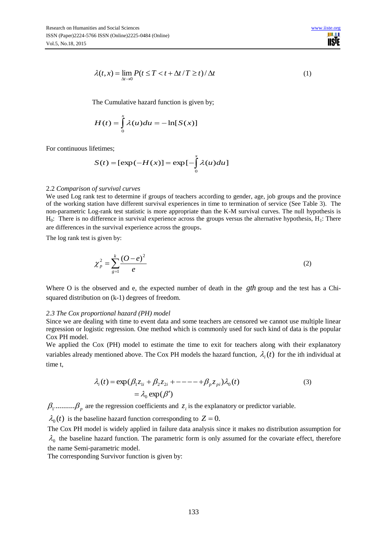

$$
\lambda(t, x) = \lim_{\Delta t \to 0} P(t \le T < t + \Delta t / T \ge t) / \Delta t
$$
 (1)

The Cumulative hazard function is given by;

$$
H(t) = \int_{0}^{x} \lambda(u) du = -\ln[S(x)]
$$

For continuous lifetimes;

$$
S(t) = [\exp(-H(x))] = \exp[-\int_{0}^{x} \lambda(u)du]
$$

#### 2.2 *Comparison of survival curves*

t, x) =  $\lim_{\Delta t \to 0} P(t \le T < t + \Delta t/T \ge t) / \Delta t$ <br>
c Cumulative hazard function is given by;<br>
(t) =  $\int_{0}^{x} \lambda(u) du = -\ln[S(x)]$ <br>
mes;<br>
(t) =  $\left[\exp(-H(x)] = \exp[-\int_{0}^{x} \lambda(u) du\right]$ <br>
mes;<br>
to determine if groups of teachers accord<br>
to determine We used Log rank test to determine if groups of teachers according to gender, age, job groups and the province of the working station have different survival experiences in time to termination of service (See Table 3). The non-parametric Log-rank test statistic is more appropriate than the K-M survival curves. The null hypothesis is  $H_0$ : There is no difference in survival experience across the groups versus the alternative hypothesis,  $H_1$ : There are differences in the survival experience across the groups.

The log rank test is given by:

$$
\chi_p^2 = \sum_{g=1}^k \frac{(O-e)^2}{e}
$$
 (2)

Where O is the observed and e, the expected number of death in the *gth* group and the test has a Chisquared distribution on (k-1) degrees of freedom.

#### *2.3 The Cox proportional hazard (PH) model*

Since we are dealing with time to event data and some teachers are censored we cannot use multiple linear regression or logistic regression. One method which is commonly used for such kind of data is the popular Cox PH model.

We applied the Cox (PH) model to estimate the time to exit for teachers along with their explanatory variables already mentioned above. The Cox PH models the hazard function,  $\lambda_i(t)$  for the ith individual at time t,

$$
\lambda_i(t) = \exp(\beta_1 z_{1i} + \beta_2 z_{2i} + \cdots + \beta_p z_{pi})\lambda_0(t)
$$
\n
$$
= \lambda_0 \exp(\beta')
$$
\n(3)

 $\beta_1$ .........., $\beta_p$  are the regression coefficients and  $z_i$  is the explanatory or predictor variable.

 $\lambda_0(t)$  is the baseline hazard function corresponding to  $Z = 0$ .

The Cox PH model is widely applied in failure data analysis since it makes no distribution assumption for  $\lambda_0$  the baseline hazard function. The parametric form is only assumed for the covariate effect, therefore the name Semi-parametric model.

The corresponding Survivor function is given by: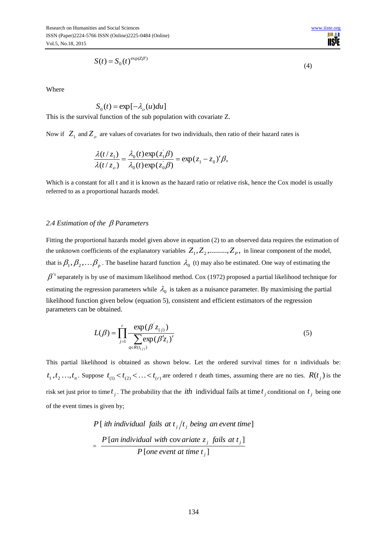n e **IISTE** 

$$
S(t) = S_0(t)^{\exp(Z\beta')}
$$

Where

$$
S_0(t) = \exp[-\lambda_o(u)du]
$$

This is the survival function of the sub population with covariate Z.

Now if  $Z_1$  and  $Z_2$  are values of covariates for two individuals, then ratio of their hazard rates is

$$
\frac{\lambda(t/z_1)}{\lambda(t/z_0)} = \frac{\lambda_0(t) \exp(z_1 \beta)}{\lambda_0(t) \exp(z_0 \beta)} = \exp(z_1 - z_0)' \beta,
$$

Which is a constant for all t and it is known as the hazard ratio or relative risk, hence the Cox model is usually referred to as a proportional hazards model.

#### *2.4 Estimation of the Parameters*

[ $-\lambda_o(u)du$ ]<br>the sub population with d<br>f covariates for two indivi-<br> $\lambda_0(t) \exp(z_1/\beta) = \exp(z_0/\beta_0) = \exp(z_0/\beta_0) = \exp(z_0/\beta_0)$ <br>it is known as the hazard r<br>and model.<br>meters<br>model given above in equals and the same explanatory variab Fitting the proportional hazards model given above in equation (2) to an observed data requires the estimation of the unknown coefficients of the explanatory variables  $Z_1, Z_2, \ldots, Z_p$ , in linear component of the model, that is  $\beta_1, \beta_2, \ldots, \beta_p$ . The baseline hazard function  $\lambda_0$  (t) may also be estimated. One way of estimating the  $\beta$ <sup>'s</sup> separately is by use of maximum likelihood method. Cox (1972) proposed a partial likelihood technique for estimating the regression parameters while  $\lambda_0$  is taken as a nuisance parameter. By maximising the partial likelihood function given below (equation 5), consistent and efficient estimators of the regression parameters can be obtained.

$$
L(\beta) = \prod_{j=1}^{r} \frac{\exp(\beta' z_{(j)})}{\sum_{q \in R(t_{(j)})} \exp(\beta' z_{i})'}
$$
(5)

This partial likelihood is obtained as shown below. Let the ordered survival times for n individuals be:  $t_1, t_2, \ldots, t_n$ . Suppose  $t_{(1)} < t_{(2)} < \ldots < t_{(r)}$  are ordered r death times, assuming there are no ties.  $R(t_j)$  is the risk set just prior to time  $t_j$ . The probability that the *ith* individual fails at time  $t_j$  conditional on  $t_j$  being one of the event times is given by;

$$
P[\text{ }ith \text{ }individual \text{ }fails \text{ }at \text{ }t_j/t_j \text{ }being \text{ }an \text{ }event \text{ }time}]\n= \frac{P[\text{ }an \text{ }individual \text{ }with \text{ }cov \text{ }ariate \text{ }z_j \text{ } fails \text{ }at \text{ }t_j]}{P[\text{ }one \text{ }event \text{ }at \text{ }time \text{ }t_j]\n}
$$

(4)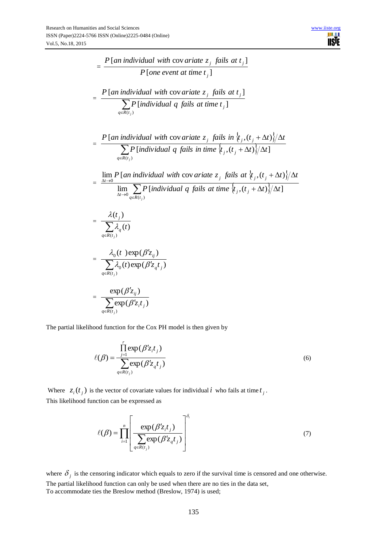$$
= \frac{P[\text{an individual with covariate } z_j \text{ fails at } t_j]}{P[\text{one event at time } t_j]}
$$
\n
$$
= \frac{P[\text{an individual with covariate } z_j \text{ fails at } t_j]}{\sum_{q \in R(t_j)}} \frac{P[\text{individual q \text{ fails at time } t_j]}{\sum_{q \in R(t_j)}} \frac{P[\text{individual q \text{ fails at time } t_j]}{\sum_{q \in R(t_j)}} \frac{P[\text{individual with covariate } z_j \text{ fails in } \{t_j, (t_j + \Delta t)\} / \Delta t]}{\sum_{q \in R(t_j)}} \frac{P[\text{individual q \text{ fails in time } \{t_j, (t_j + \Delta t)\} / \Delta t]}{\sum_{\Delta t \to 0} P[\text{individual with covariate } z_j \text{ fails at } \{t_j, (t_j + \Delta t)\} / \Delta t]} \frac{\lim_{\Delta t \to 0} P[\text{individual q \text{ fails at time } \{t_j, (t_j + \Delta t)\} / \Delta t]}{\sum_{q \in R(t_j)} P[\text{individual q \text{ fails at time } \{t_j, (t_j + \Delta t)\} / \Delta t]} \frac{\Delta t}{\sum_{q \in R(t_j)}} \frac{\Delta_0(t) \exp(\beta' z_{q} t_j)}{\sum_{q \in R(t_j)}}}{\sum_{q \in R(t_j)} P(\beta' z_{q} t_j)}
$$

The partial likelihood function for the Cox PH model is then given by

$$
\ell(\beta) = \frac{\prod_{j=1}^{r} \exp(\beta' z_i t_j)}{\sum_{q \in R(t_j)} \exp(\beta' z_q t_j)}
$$
\n(6)

Where  $z_i(t_j)$  is the vector of covariate values for individual i who fails at time  $t_j$ . This likelihood function can be expressed as

$$
\ell(\beta) = \prod_{i=1}^{n} \left[ \frac{\exp(\beta' z_i t_j)}{\sum_{q \in R(t_j)} \exp(\beta' z_q t_j)} \right]^{\delta_i}
$$
(7)

where  $\delta_j$  is the censoring indicator which equals to zero if the survival time is censored and one otherwise. The partial likelihood function can only be used when there are no ties in the data set, To accommodate ties the Breslow method (Breslow, 1974) is used;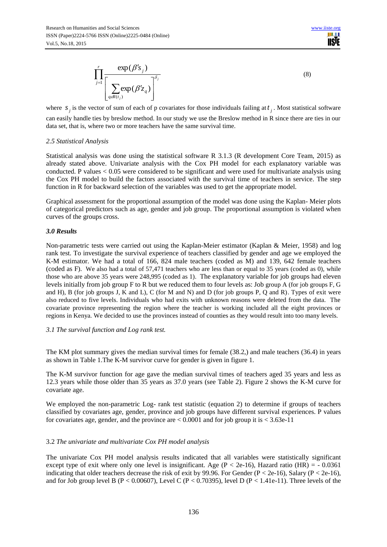$\overline{\phantom{a}}^{\phantom{a}}$   $\overline{\phantom{a}}$  $\overline{\phantom{a}}$  $\overline{\phantom{a}}$  $\overline{\phantom{a}}$  $\overline{\phantom{a}}$  $\mathsf{I}$  $\mathbf{r}$ L  $\mathbf{r}$  $\overline{\cdot}$  $\frac{r}{\sqrt{2}}$  exp( $\beta'$ ) *j*  $q \varepsilon R(t)$ *q j j j z s* <sup>1</sup>  $\sum$  exp( $\beta'$ z<sub>a</sub>)  $(t_i)$  $exp(\beta' s_i)$ δ ε  $_{\beta}$  $\beta$ (8)

where  $s_j$  is the vector of sum of each of p covariates for those individuals failing at  $t_j$ . Most statistical software can easily handle ties by breslow method. In our study we use the Breslow method in R since there are ties in our data set, that is, where two or more teachers have the same survival time.

#### *2.5 Statistical Analysis*

Statistical analysis was done using the statistical software R 3.1.3 (R development Core Team, 2015) as already stated above. Univariate analysis with the Cox PH model for each explanatory variable was conducted. P values  $< 0.05$  were considered to be significant and were used for multivariate analysis using the Cox PH model to build the factors associated with the survival time of teachers in service. The step function in R for backward selection of the variables was used to get the appropriate model.

Graphical assessment for the proportional assumption of the model was done using the Kaplan- Meier plots of categorical predictors such as age, gender and job group. The proportional assumption is violated when curves of the groups cross.

#### *3.0 Results*

 $\prod_{j=1}^{n} \frac{C_A \rho(p s_j)}{\left[\sum_{q s R(v_j)} \exp(\beta' z_q)\right]^{\sigma_j}}$ <br>
For  $\left[\sum_{q s R(v_j)} \exp(\beta' z_q)\right]^{\sigma_j}$ <br>
ctor of sum of each of p covariates for the six by breslow method. In our study we<br>
neter two or more teachers have the same<br>
advsis is wa Non-parametric tests were carried out using the Kaplan-Meier estimator (Kaplan & Meier, 1958) and log rank test. To investigate the survival experience of teachers classified by gender and age we employed the K-M estimator. We had a total of 166, 824 male teachers (coded as M) and 139, 642 female teachers (coded as F). We also had a total of 57,471 teachers who are less than or equal to 35 years (coded as 0), while those who are above 35 years were 248,995 (coded as 1). The explanatory variable for job groups had eleven levels initially from job group F to R but we reduced them to four levels as: Job group A (for job groups F, G and H), B (for job groups J, K and L), C (for M and N) and D (for job groups P, Q and R). Types of exit were also reduced to five levels. Individuals who had exits with unknown reasons were deleted from the data. The covariate province representing the region where the teacher is working included all the eight provinces or regions in Kenya. We decided to use the provinces instead of counties as they would result into too many levels.

### *3.1 The survival function and Log rank test.*

The KM plot summary gives the median survival times for female (38.2,) and male teachers (36.4) in years as shown in Table 1.The K-M survivor curve for gender is given in figure 1.

The K-M survivor function for age gave the median survival times of teachers aged 35 years and less as 12.3 years while those older than 35 years as 37.0 years (see Table 2). Figure 2 shows the K-M curve for covariate age.

We employed the non-parametric Log- rank test statistic (equation 2) to determine if groups of teachers classified by covariates age, gender, province and job groups have different survival experiences. P values for covariates age, gender, and the province are  $\lt 0.0001$  and for job group it is  $\lt 3.63e-11$ 

### 3.2 *The univariate and multivariate Cox PH model analysis*

The univariate Cox PH model analysis results indicated that all variables were statistically significant except type of exit where only one level is insignificant. Age ( $P < 2e-16$ ), Hazard ratio (HR) = - 0.0361 indicating that older teachers decrease the risk of exit by 99.96. For Gender ( $P < 2e-16$ ), Salary ( $P < 2e-16$ ), and for Job group level B (P < 0.00607), Level C (P < 0.70395), level D (P < 1.41e-11). Three levels of the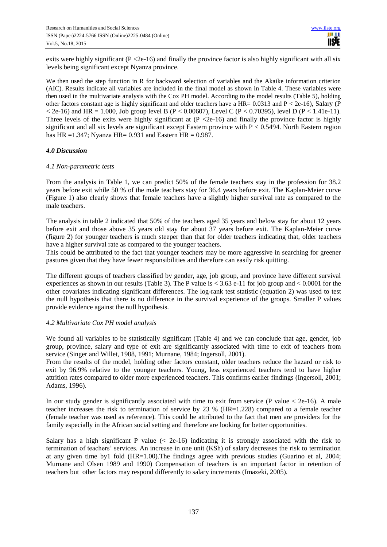exits were highly significant (P < 2e-16) and finally the province factor is also highly significant with all six levels being significant except Nyanza province.

We then used the step function in R for backward selection of variables and the Akaike information criterion (AIC). Results indicate all variables are included in the final model as shown in Table 4. These variables were then used in the multivariate analysis with the Cox PH model. According to the model results (Table 5), holding other factors constant age is highly significant and older teachers have a HR=  $0.0313$  and P < 2e-16), Salary (P  $<$  2e-16) and HR = 1.000, Job group level B (P  $<$  0.00607), Level C (P  $<$  0.70395), level D (P  $<$  1.41e-11). Three levels of the exits were highly significant at  $(P \le 2e-16)$  and finally the province factor is highly significant and all six levels are significant except Eastern province with P < 0.5494. North Eastern region has HR =  $1.347$ ; Nyanza HR =  $0.931$  and Eastern HR =  $0.987$ .

#### *4.0 Discussion*

#### *4.1 Non-parametric tests*

From the analysis in Table 1, we can predict 50% of the female teachers stay in the profession for 38.2 years before exit while 50 % of the male teachers stay for 36.4 years before exit. The Kaplan-Meier curve (Figure 1) also clearly shows that female teachers have a slightly higher survival rate as compared to the male teachers.

The analysis in table 2 indicated that 50% of the teachers aged 35 years and below stay for about 12 years before exit and those above 35 years old stay for about 37 years before exit. The Kaplan-Meier curve (figure 2) for younger teachers is much steeper than that for older teachers indicating that, older teachers have a higher survival rate as compared to the younger teachers.

This could be attributed to the fact that younger teachers may be more aggressive in searching for greener pastures given that they have fewer responsibilities and therefore can easily risk quitting.

The different groups of teachers classified by gender, age, job group, and province have different survival experiences as shown in our results (Table 3). The P value is  $<$  3.63 e-11 for job group and  $<$  0.0001 for the other covariates indicating significant differences. The log-rank test statistic (equation 2) was used to test the null hypothesis that there is no difference in the survival experience of the groups. Smaller P values provide evidence against the null hypothesis.

#### *4.2 Multivariate Cox PH model analysis*

We found all variables to be statistically significant (Table 4) and we can conclude that age, gender, job group, province, salary and type of exit are significantly associated with time to exit of teachers from service (Singer and Willet, 1988, 1991; Murnane, 1984; Ingersoll, 2001).

From the results of the model, holding other factors constant, older teachers reduce the hazard or risk to exit by 96.9% relative to the younger teachers. Young, less experienced teachers tend to have higher attrition rates compared to older more experienced teachers. This confirms earlier findings (Ingersoll, 2001; Adams, 1996).

In our study gender is significantly associated with time to exit from service (P value  $<$  2e-16). A male teacher increases the risk to termination of service by 23 % (HR=1.228) compared to a female teacher (female teacher was used as reference). This could be attributed to the fact that men are providers for the family especially in the African social setting and therefore are looking for better opportunities.

Salary has a high significant P value  $\ll$  2e-16) indicating it is strongly associated with the risk to termination of teachers' services. An increase in one unit (KSh) of salary decreases the risk to termination at any given time by1 fold (HR=1.00).The findings agree with previous studies (Guarino et al, 2004; Murnane and Olsen 1989 and 1990) Compensation of teachers is an important factor in retention of teachers but other factors may respond differently to salary increments (Imazeki, 2005).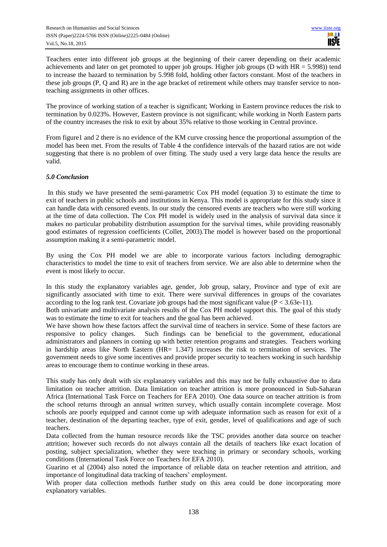Teachers enter into different job groups at the beginning of their career depending on their academic achievements and later on get promoted to upper job groups. Higher job groups (D with HR = 5.998)) tend to increase the hazard to termination by 5.998 fold, holding other factors constant. Most of the teachers in these job groups (P, Q and R) are in the age bracket of retirement while others may transfer service to nonteaching assignments in other offices.

The province of working station of a teacher is significant; Working in Eastern province reduces the risk to termination by 0.023%. However, Eastern province is not significant; while working in North Eastern parts of the country increases the risk to exit by about 35% relative to those working in Central province.

From figure1 and 2 there is no evidence of the KM curve crossing hence the proportional assumption of the model has been met. From the results of Table 4 the confidence intervals of the hazard ratios are not wide suggesting that there is no problem of over fitting. The study used a very large data hence the results are valid.

### *5.0 Conclusion*

In this study we have presented the semi-parametric Cox PH model (equation 3) to estimate the time to exit of teachers in public schools and institutions in Kenya. This model is appropriate for this study since it can handle data with censored events. In our study the censored events are teachers who were still working at the time of data collection. The Cox PH model is widely used in the analysis of survival data since it makes no particular probability distribution assumption for the survival times, while providing reasonably good estimates of regression coefficients (Collet, 2003).The model is however based on the proportional assumption making it a semi-parametric model.

By using the Cox PH model we are able to incorporate various factors including demographic characteristics to model the time to exit of teachers from service. We are also able to determine when the event is most likely to occur.

In this study the explanatory variables age, gender, Job group, salary, Province and type of exit are significantly associated with time to exit. There were survival differences in groups of the covariates according to the log rank test. Covariate job groups had the most significant value ( $P < 3.63e-11$ ).

Both univariate and multivariate analysis results of the Cox PH model support this. The goal of this study was to estimate the time to exit for teachers and the goal has been achieved.

We have shown how these factors affect the survival time of teachers in service. Some of these factors are responsive to policy changes. Such findings can be beneficial to the government, educational administrators and planners in coming up with better retention programs and strategies. Teachers working in hardship areas like North Eastern (HR= 1.347) increases the risk to termination of services. The government needs to give some incentives and provide proper security to teachers working in such hardship areas to encourage them to continue working in these areas.

This study has only dealt with six explanatory variables and this may not be fully exhaustive due to data limitation on teacher attrition. Data limitation on teacher attrition is more pronounced in Sub-Saharan Africa (International Task Force on Teachers for EFA 2010). One data source on teacher attrition is from the school returns through an annual written survey, which usually contain incomplete coverage. Most schools are poorly equipped and cannot come up with adequate information such as reason for exit of a teacher, destination of the departing teacher, type of exit, gender, level of qualifications and age of such teachers.

Data collected from the human resource records like the TSC provides another data source on teacher attrition; however such records do not always contain all the details of teachers like exact location of posting, subject specialization, whether they were teaching in primary or secondary schools, working conditions (International Task Force on Teachers for EFA 2010).

Guarino et al (2004) also noted the importance of reliable data on teacher retention and attrition, and importance of longitudinal data tracking of teachers' employment.

With proper data collection methods further study on this area could be done incorporating more explanatory variables.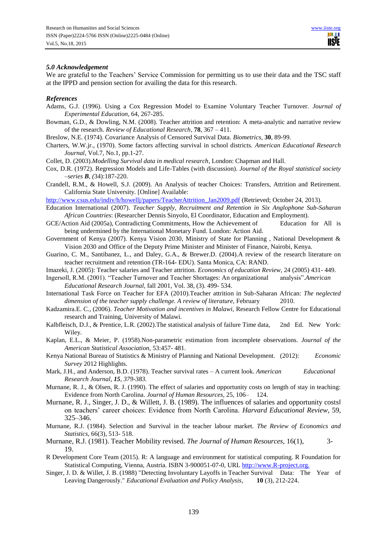#### *5.0 Acknowledgement*

We are grateful to the Teachers' Service Commission for permitting us to use their data and the TSC staff at the IPPD and pension section for availing the data for this research.

#### *References*

- Adams, G.J. (1996). Using a Cox Regression Model to Examine Voluntary Teacher Turnover. *Journal of Experimental Education,* 64, 267-285.
- Bowman, G.D., & Dowling, N.M. (2008). Teacher attrition and retention: A meta-analytic and narrative review of the research. *Review of Educational Research*, **78**, 367 – 411.
- Breslow, N.E. (1974). Covariance Analysis of Censored Survival Data. *Biometrics,* **30**, 89-99.
- Charters, W.W.jr., (1970). Some factors affecting survival in school districts. *American Educational Research Journal,* Vol.7, No.1, pp.1-27.
- Collet, D. (2003).*Modelling Survival data in medical research*, London: Chapman and Hall.
- Cox, D.R. (1972). Regression Models and Life-Tables (with discussion). *Journal of the Royal statistical society –series B, (*34):187-220.
- Crandell, R.M., & Howell, S.J. (2009). An Analysis of teacher Choices: Transfers, Attrition and Retirement. California State University. [Online] Available:

http://www.csus.edu/indiv/h/howellj/papers/TeacherAttrition Jan2009.pdf (Retrieved; October 24, 2013).

- Education International (2007). *Teacher Supply, Recruitment and Retention in Six Anglophone Sub-Saharan African Countries*: (Researcher Dennis Sinyolo, El Coordinator, Education and Employment).
- GCE/Action Aid (2005a), Contradicting Commitments, How the Achievement of Education for All is being undermined by the International Monetary Fund. London: Action Aid.
- Government of Kenya (2007). Kenya Vision 2030, Ministry of State for Planning , National Development & Vision 2030 and Office of the Deputy Prime Minister and Minister of Finance, Nairobi, Kenya.
- Guarino, C. M., Santibanez, L., and Daley, G.A., & Brewer.D. (2004).A review of the research literature on teacher recruitment and retention (TR-164- EDU). Santa Monica, CA: RAND.
- Imazeki, J. (2005): Teacher salaries and Teacher attrition. *Economics of education Review*, 24 (2005) 431- 449.
- Ingersoll, R.M. (2001). "Teacher Turnover and Teacher Shortages: An organizational analysis".*American Educational Research Journal,* fall 2001, Vol. 38, (3). 499- 534.
- International Task Force on Teacher for EFA (2010).Teacher attrition in Sub-Saharan African: *The neglected dimension of the teacher supply challenge. A review of literature,* February 2010.
- Kadzamira.E. C., (2006). *Teacher Motivation and incentives in Malawi,* Research Fellow Centre for Educational research and Training*,* University of Malawi.
- Kalbfleisch, D.J., & Prentice, L.R. (2002).The statistical analysis of failure Time data, 2nd Ed. New York: Wiley.
- Kaplan, E.L., & Meier, P. (1958).Non-parametric estimation from incomplete observations. *Journal of the American Statistical Association,* 53:457- 481.
- Kenya National Bureau of Statistics & Ministry of Planning and National Development. (2012): *Economic Survey* 2012 Highlights.
- Mark, J.H., and Anderson, B.D. (1978). Teacher survival rates A current look. *American Educational Research Journal, 15, 379-383.*
- Murnane, R. J., & Olsen, R. J. (1990). The effect of salaries and opportunity costs on length of stay in teaching: Evidence from North Carolina. *Journal of Human Resources*, 25, 106– 124.
- Murnane, R. J., Singer, J. D., & Willett, J. B. (1989). The influences of salaries and opportunity costs on teachers' career choices: Evidence from North Carolina. *Harvard Educational Review*, 59, 325–346.
- Murnane, R.J. (1984). Selection and Survival in the teacher labour market. *The Review of Economics and Statistics,* 66(3), 513- 518.
- Murnane, R.J. (1981). Teacher Mobility revised. *The Journal of Human Resources*, 16(1), 3- 19.
- R Development Core Team (2015). R: A language and environment for statistical computing. R Foundation for Statistical Computing, Vienna, Austria. ISBN 3-900051-07-0, URL [http://www.R-project.org.](http://www.r-project.org./)
- Singer, J. D. & Willet, J. B. (1988) "Detecting Involuntary Layoffs in Teacher Survival Data: The Year of Leaving Dangerously." *Educational Evaluation and Policy Analysis*, **10** (3), 212-224.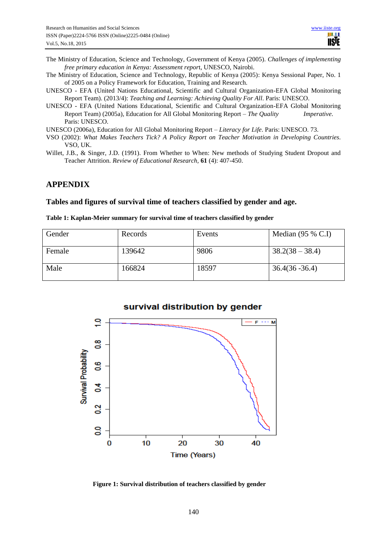- The Ministry of Education, Science and Technology, Government of Kenya (2005). *Challenges of implementing free primary education in Kenya: Assessment repor*t, UNESCO, Nairobi.
- The Ministry of Education, Science and Technology, Republic of Kenya (2005): Kenya Sessional Paper, No. 1 of 2005 on a Policy Framework for Education, Training and Research.
- UNESCO EFA (United Nations Educational, Scientific and Cultural Organization-EFA Global Monitoring Report Team). (2013/4): *Teaching and Learning: Achieving Quality For All*. Paris: UNESCO.
- UNESCO EFA (United Nations Educational, Scientific and Cultural Organization-EFA Global Monitoring Report Team) (2005a), Education for All Global Monitoring Report – *The Quality Imperative*. Paris: UNESCO.

UNESCO (2006a), Education for All Global Monitoring Report – *Literacy for Life*. Paris: UNESCO. 73.

- VSO (2002): *What Makes Teachers Tick? A Policy Report on Teacher Motivation in Developing Countries*. VSO, UK.
- Willet, J.B., & Singer, J.D. (1991). From Whether to When: New methods of Studying Student Dropout and Teacher Attrition. *Review of Educational Research,* **61** (4): 407-450.

### **APPENDIX**

#### **Tables and figures of survival time of teachers classified by gender and age.**

#### **Table 1: Kaplan-Meier summary for survival time of teachers classified by gender**

| Gender | Records | Events | Median $(95 % C.I)$ |
|--------|---------|--------|---------------------|
| Female | 139642  | 9806   | $38.2(38 - 38.4)$   |
| Male   | 166824  | 18597  | $36.4(36 - 36.4)$   |



**Figure 1: Survival distribution of teachers classified by gender**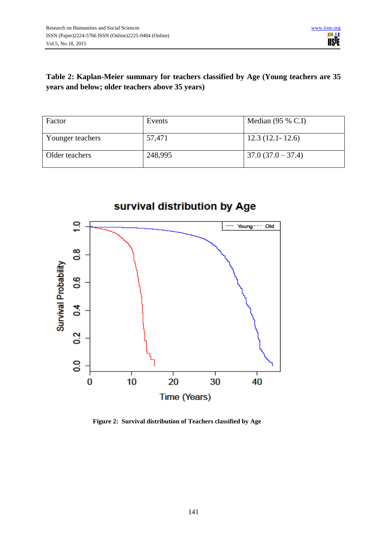## **Table 2: Kaplan-Meier summary for teachers classified by Age (Young teachers are 35 years and below; older teachers above 35 years)**

| Factor           | Events  | Median $(95 % C.I)$ |
|------------------|---------|---------------------|
| Younger teachers | 57,471  | $12.3(12.1 - 12.6)$ |
| Older teachers   | 248,995 | $37.0(37.0 - 37.4)$ |



**Figure 2: Survival distribution of Teachers classified by Age**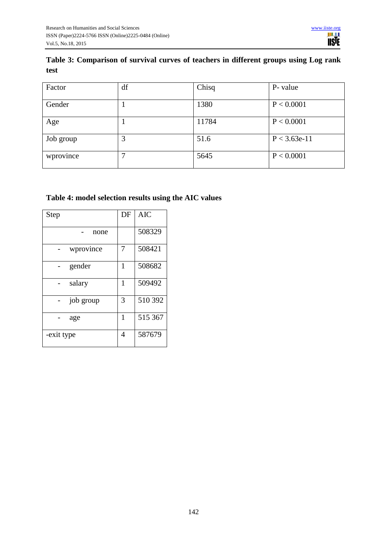# **Table 3: Comparison of survival curves of teachers in different groups using Log rank test**

| Factor    | df | Chisq | P- value       |
|-----------|----|-------|----------------|
| Gender    |    | 1380  | P < 0.0001     |
| Age       |    | 11784 | P < 0.0001     |
| Job group | 3  | 51.6  | $P < 3.63e-11$ |
| wprovince |    | 5645  | P < 0.0001     |

# **Table 4: model selection results using the AIC values**

|            |           | DF | <b>AIC</b> |
|------------|-----------|----|------------|
| Step       |           |    |            |
|            |           |    |            |
|            | none      |    | 508329     |
|            |           |    |            |
|            | wprovince | 7  | 508421     |
|            |           |    |            |
|            | gender    | 1  | 508682     |
|            |           |    |            |
|            | salary    | 1  | 509492     |
|            |           |    |            |
|            | job group | 3  | 510 392    |
|            |           |    |            |
|            | age       | 1  | 515 367    |
|            |           |    |            |
| -exit type |           | 4  | 587679     |
|            |           |    |            |
|            |           |    |            |